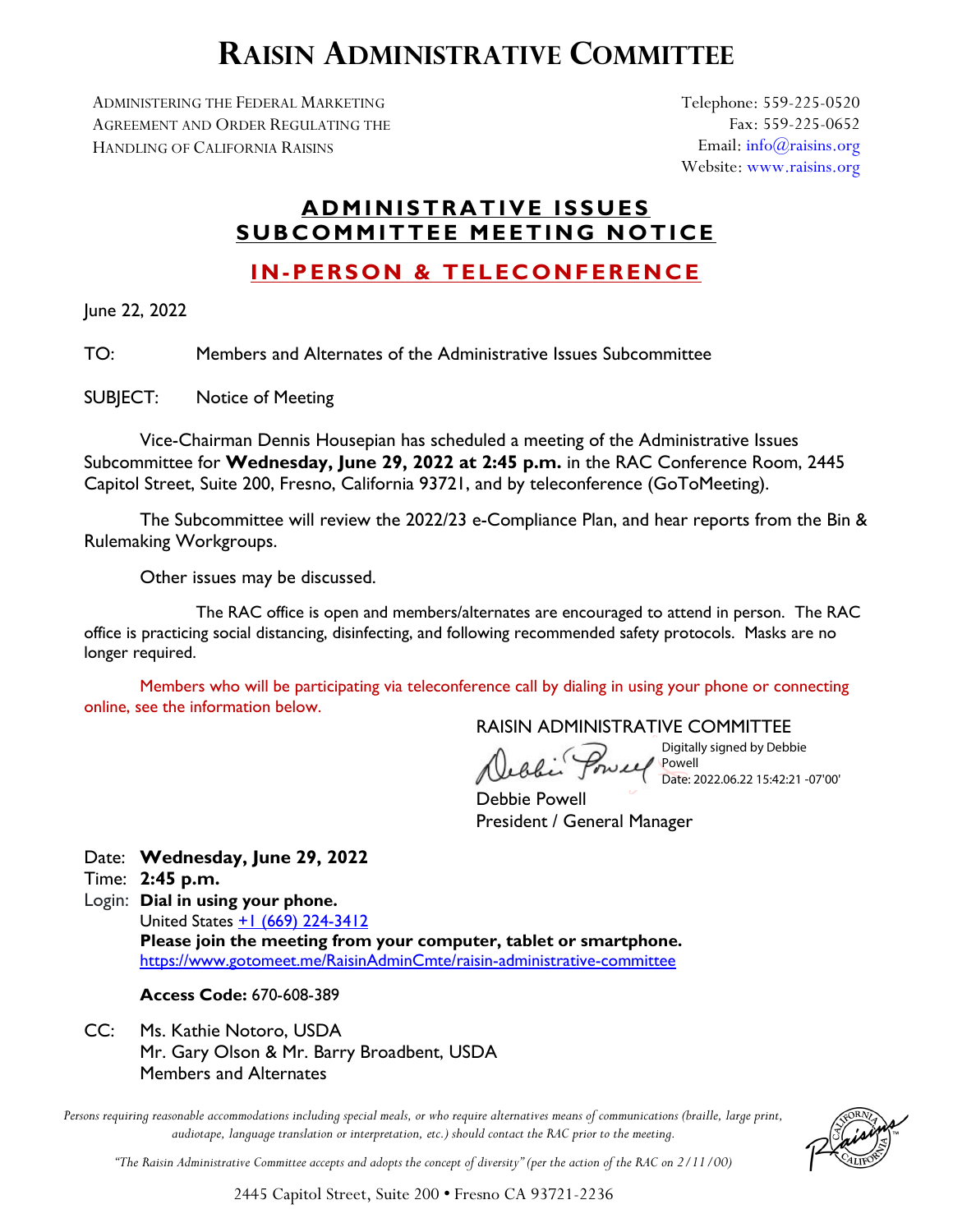# **RAISIN ADMINISTRATIVE COMMITTEE**

ADMINISTERING THE FEDERAL MARKETING AGREEMENT AND ORDER REGULATING THE HANDLING OF CALIFORNIA RAISINS

Telephone: 559-225-0520 Fax: 559-225-0652 Email: [info@raisins.org](mailto:info@raisins.org) Website: [www.raisins.org](http://www.raisins.org/)

## **ADMINISTRATIVE ISSUES SUBCOMMITTEE MEETING NOTICE**

## **IN-PERSON & TELECONFERENCE**

June 22, 2022

TO: Members and Alternates of the Administrative Issues Subcommittee

SUBJECT: Notice of Meeting

Vice-Chairman Dennis Housepian has scheduled a meeting of the Administrative Issues Subcommittee for **Wednesday, June 29, 2022 at 2:45 p.m.** in the RAC Conference Room, 2445 Capitol Street, Suite 200, Fresno, California 93721, and by teleconference (GoToMeeting).

The Subcommittee will review the 2022/23 e-Compliance Plan, and hear reports from the Bin & Rulemaking Workgroups.

Other issues may be discussed.

The RAC office is open and members/alternates are encouraged to attend in person. The RAC office is practicing social distancing, disinfecting, and following recommended safety protocols. Masks are no longer required.

Members who will be participating via teleconference call by dialing in using your phone or connecting online, see the information below.

RAISIN ADMINISTRATIVE COMMITTEE

Obi Poweel

Digitally signed by Debbie Powell Date: 2022.06.22 15:42:21 -07'00'

Debbie Powell President / General Manager

Date: **Wednesday, June 29, 2022**

Time: **2:45 p.m.**

Login: **Dial in using your phone.**  United States [+1 \(669\) 224-3412](tel:+16692243412,,670608389) **Please join the meeting from your computer, tablet or smartphone.**  <https://www.gotomeet.me/RaisinAdminCmte/raisin-administrative-committee>

#### **Access Code:** 670-608-389

CC: Ms. Kathie Notoro, USDA Mr. Gary Olson & Mr. Barry Broadbent, USDA Members and Alternates

*Persons requiring reasonable accommodations including special meals, or who require alternatives means of communications (braille, large print, audiotape, language translation or interpretation, etc.) should contact the RAC prior to the meeting.*



*"The Raisin Administrative Committee accepts and adopts the concept of diversity" (per the action of the RAC on 2/11/00)*